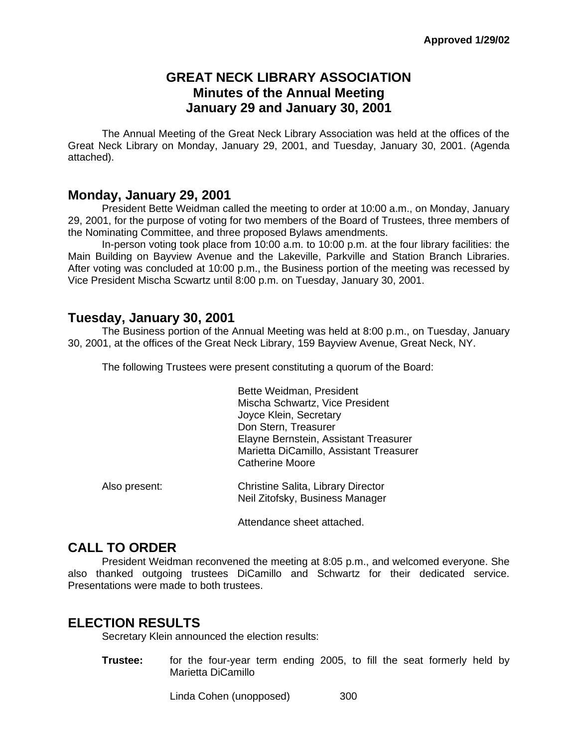# **GREAT NECK LIBRARY ASSOCIATION Minutes of the Annual Meeting January 29 and January 30, 2001**

The Annual Meeting of the Great Neck Library Association was held at the offices of the Great Neck Library on Monday, January 29, 2001, and Tuesday, January 30, 2001. (Agenda attached).

#### **Monday, January 29, 2001**

President Bette Weidman called the meeting to order at 10:00 a.m., on Monday, January 29, 2001, for the purpose of voting for two members of the Board of Trustees, three members of the Nominating Committee, and three proposed Bylaws amendments.

In-person voting took place from 10:00 a.m. to 10:00 p.m. at the four library facilities: the Main Building on Bayview Avenue and the Lakeville, Parkville and Station Branch Libraries. After voting was concluded at 10:00 p.m., the Business portion of the meeting was recessed by Vice President Mischa Scwartz until 8:00 p.m. on Tuesday, January 30, 2001.

### **Tuesday, January 30, 2001**

The Business portion of the Annual Meeting was held at 8:00 p.m., on Tuesday, January 30, 2001, at the offices of the Great Neck Library, 159 Bayview Avenue, Great Neck, NY.

The following Trustees were present constituting a quorum of the Board:

Bette Weidman, President Mischa Schwartz, Vice President Joyce Klein, Secretary Don Stern, Treasurer Elayne Bernstein, Assistant Treasurer Marietta DiCamillo, Assistant Treasurer Catherine Moore

| Also present: | Christine Salita, Library Director |
|---------------|------------------------------------|
|               | Neil Zitofsky, Business Manager    |

Attendance sheet attached.

# **CALL TO ORDER**

President Weidman reconvened the meeting at 8:05 p.m., and welcomed everyone. She also thanked outgoing trustees DiCamillo and Schwartz for their dedicated service. Presentations were made to both trustees.

### **ELECTION RESULTS**

Secretary Klein announced the election results:

**Trustee:** for the four-year term ending 2005, to fill the seat formerly held by Marietta DiCamillo

Linda Cohen (unopposed) 300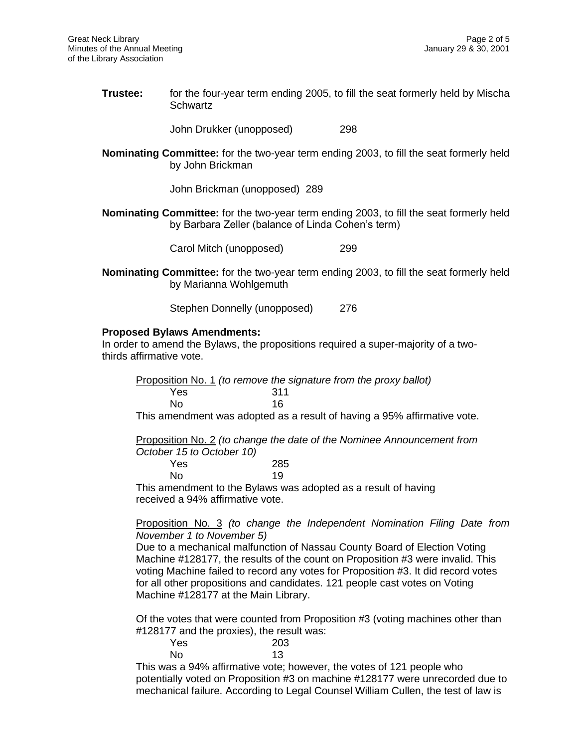**Trustee:** for the four-year term ending 2005, to fill the seat formerly held by Mischa **Schwartz** 

John Drukker (unopposed) 298

**Nominating Committee:** for the two-year term ending 2003, to fill the seat formerly held by John Brickman

John Brickman (unopposed) 289

**Nominating Committee:** for the two-year term ending 2003, to fill the seat formerly held by Barbara Zeller (balance of Linda Cohen's term)

Carol Mitch (unopposed) 299

**Nominating Committee:** for the two-year term ending 2003, to fill the seat formerly held by Marianna Wohlgemuth

Stephen Donnelly (unopposed) 276

#### **Proposed Bylaws Amendments:**

In order to amend the Bylaws, the propositions required a super-majority of a twothirds affirmative vote.

Proposition No. 1 *(to remove the signature from the proxy ballot)* Yes 311 No 16

This amendment was adopted as a result of having a 95% affirmative vote.

Proposition No. 2 *(to change the date of the Nominee Announcement from October 15 to October 10)*

| Yes | 285 |
|-----|-----|
| No  | 19  |

This amendment to the Bylaws was adopted as a result of having received a 94% affirmative vote.

#### Proposition No. 3 *(to change the Independent Nomination Filing Date from November 1 to November 5)*

Due to a mechanical malfunction of Nassau County Board of Election Voting Machine #128177, the results of the count on Proposition #3 were invalid. This voting Machine failed to record any votes for Proposition #3. It did record votes for all other propositions and candidates. 121 people cast votes on Voting Machine #128177 at the Main Library.

Of the votes that were counted from Proposition #3 (voting machines other than #128177 and the proxies), the result was:

| .   |  |  | $\sim$ | $-11$ |  |     |
|-----|--|--|--------|-------|--|-----|
| Yes |  |  |        |       |  | 203 |
| No  |  |  |        |       |  | 13  |

This was a 94% affirmative vote; however, the votes of 121 people who potentially voted on Proposition #3 on machine #128177 were unrecorded due to mechanical failure. According to Legal Counsel William Cullen, the test of law is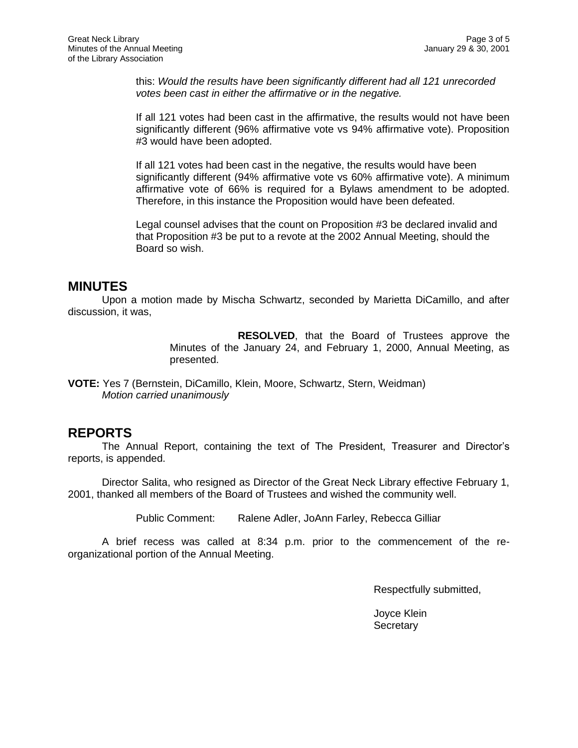this: *Would the results have been significantly different had all 121 unrecorded votes been cast in either the affirmative or in the negative.*

If all 121 votes had been cast in the affirmative, the results would not have been significantly different (96% affirmative vote vs 94% affirmative vote). Proposition #3 would have been adopted.

If all 121 votes had been cast in the negative, the results would have been significantly different (94% affirmative vote vs 60% affirmative vote). A minimum affirmative vote of 66% is required for a Bylaws amendment to be adopted. Therefore, in this instance the Proposition would have been defeated.

Legal counsel advises that the count on Proposition #3 be declared invalid and that Proposition #3 be put to a revote at the 2002 Annual Meeting, should the Board so wish.

### **MINUTES**

Upon a motion made by Mischa Schwartz, seconded by Marietta DiCamillo, and after discussion, it was,

> **RESOLVED**, that the Board of Trustees approve the Minutes of the January 24, and February 1, 2000, Annual Meeting, as presented.

**VOTE:** Yes 7 (Bernstein, DiCamillo, Klein, Moore, Schwartz, Stern, Weidman) *Motion carried unanimously*

### **REPORTS**

The Annual Report, containing the text of The President, Treasurer and Director's reports, is appended.

Director Salita, who resigned as Director of the Great Neck Library effective February 1, 2001, thanked all members of the Board of Trustees and wished the community well.

Public Comment: Ralene Adler, JoAnn Farley, Rebecca Gilliar

A brief recess was called at 8:34 p.m. prior to the commencement of the reorganizational portion of the Annual Meeting.

Respectfully submitted,

Joyce Klein **Secretary**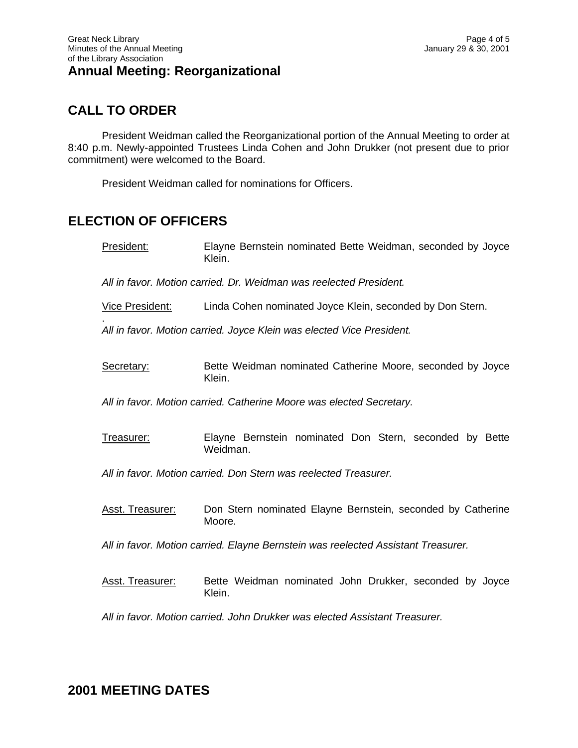# **CALL TO ORDER**

.

President Weidman called the Reorganizational portion of the Annual Meeting to order at 8:40 p.m. Newly-appointed Trustees Linda Cohen and John Drukker (not present due to prior commitment) were welcomed to the Board.

President Weidman called for nominations for Officers.

# **ELECTION OF OFFICERS**

President: Elayne Bernstein nominated Bette Weidman, seconded by Joyce Klein.

*All in favor. Motion carried. Dr. Weidman was reelected President.*

Vice President: Linda Cohen nominated Joyce Klein, seconded by Don Stern.

*All in favor. Motion carried. Joyce Klein was elected Vice President.*

Secretary: Bette Weidman nominated Catherine Moore, seconded by Joyce Klein.

*All in favor. Motion carried. Catherine Moore was elected Secretary.*

Treasurer: Elayne Bernstein nominated Don Stern, seconded by Bette Weidman.

*All in favor. Motion carried. Don Stern was reelected Treasurer.*

Asst. Treasurer: Don Stern nominated Elayne Bernstein, seconded by Catherine Moore.

*All in favor. Motion carried. Elayne Bernstein was reelected Assistant Treasurer.*

Asst. Treasurer: Bette Weidman nominated John Drukker, seconded by Joyce Klein.

*All in favor. Motion carried. John Drukker was elected Assistant Treasurer.*

**2001 MEETING DATES**